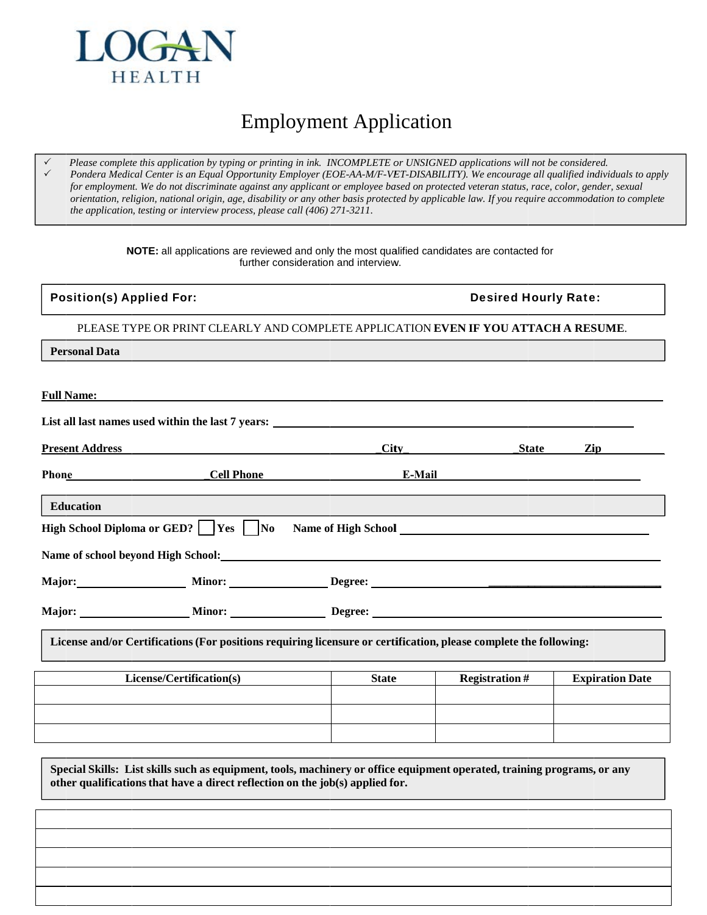

## **Employment Application**

Please complete this application by typing or printing in ink. INCOMPLETE or UNSIGNED applications will not be considered. Pondera Medical Center is an Equal Opportunity Employer (EOE-AA-M/F-VET-DISABILITY). We encourage all qualified individuals to apply for employment. We do not discriminate against any applicant or employee based on protected veteran status, race, color, gender, sexual orientation, religion, national origin, age, disability or any other basis protected by applicable law. If you require accommodation to complete the application, testing or interview process, please call (406) 271-3211.

> NOTE: all applications are reviewed and only the most qualified candidates are contacted for further consideration and interview.

| <b>Position(s) Applied For:</b>                                                    |                                                                                                                   |                                                                                                                | <b>Desired Hourly Rate:</b>                                                                                                                                                                                                                         |                        |
|------------------------------------------------------------------------------------|-------------------------------------------------------------------------------------------------------------------|----------------------------------------------------------------------------------------------------------------|-----------------------------------------------------------------------------------------------------------------------------------------------------------------------------------------------------------------------------------------------------|------------------------|
| PLEASE TYPE OR PRINT CLEARLY AND COMPLETE APPLICATION EVEN IF YOU ATTACH A RESUME. |                                                                                                                   |                                                                                                                |                                                                                                                                                                                                                                                     |                        |
| <b>Personal Data</b>                                                               |                                                                                                                   |                                                                                                                |                                                                                                                                                                                                                                                     |                        |
| <b>Full Name:</b>                                                                  |                                                                                                                   |                                                                                                                |                                                                                                                                                                                                                                                     |                        |
|                                                                                    | List all last names used within the last 7 years: _______________________________                                 |                                                                                                                |                                                                                                                                                                                                                                                     |                        |
| <b>Present Address</b>                                                             |                                                                                                                   |                                                                                                                | <b>City</b> contract the contract of the contract of the contract of the contract of the contract of the contract of the contract of the contract of the contract of the contract of the contract of the contract of the contract o<br><b>State</b> | Zip                    |
| Phone                                                                              | <b>Cell Phone</b>                                                                                                 |                                                                                                                | E-Mail experience of the state of the state of the state of the state of the state of the state of the state of the state of the state of the state of the state of the state of the state of the state of the state of the st                      |                        |
| <b>Education</b>                                                                   |                                                                                                                   |                                                                                                                |                                                                                                                                                                                                                                                     |                        |
|                                                                                    | High School Diploma or GED?     Yes     No                                                                        | Name of High School Law and School Law Annual School Law Annual School Law Annual School Law Annual School Law |                                                                                                                                                                                                                                                     |                        |
|                                                                                    |                                                                                                                   |                                                                                                                |                                                                                                                                                                                                                                                     |                        |
|                                                                                    |                                                                                                                   |                                                                                                                |                                                                                                                                                                                                                                                     |                        |
|                                                                                    |                                                                                                                   |                                                                                                                |                                                                                                                                                                                                                                                     |                        |
|                                                                                    | License and/or Certifications (For positions requiring licensure or certification, please complete the following: |                                                                                                                |                                                                                                                                                                                                                                                     |                        |
|                                                                                    | License/Certification(s)                                                                                          | <b>State</b>                                                                                                   | <b>Registration#</b>                                                                                                                                                                                                                                | <b>Expiration Date</b> |
|                                                                                    |                                                                                                                   |                                                                                                                |                                                                                                                                                                                                                                                     |                        |
|                                                                                    |                                                                                                                   |                                                                                                                |                                                                                                                                                                                                                                                     |                        |
|                                                                                    |                                                                                                                   |                                                                                                                |                                                                                                                                                                                                                                                     |                        |

Special Skills: List skills such as equipment, tools, machinery or office equipment operated, training programs, or any other qualifications that have a direct reflection on the job(s) applied for.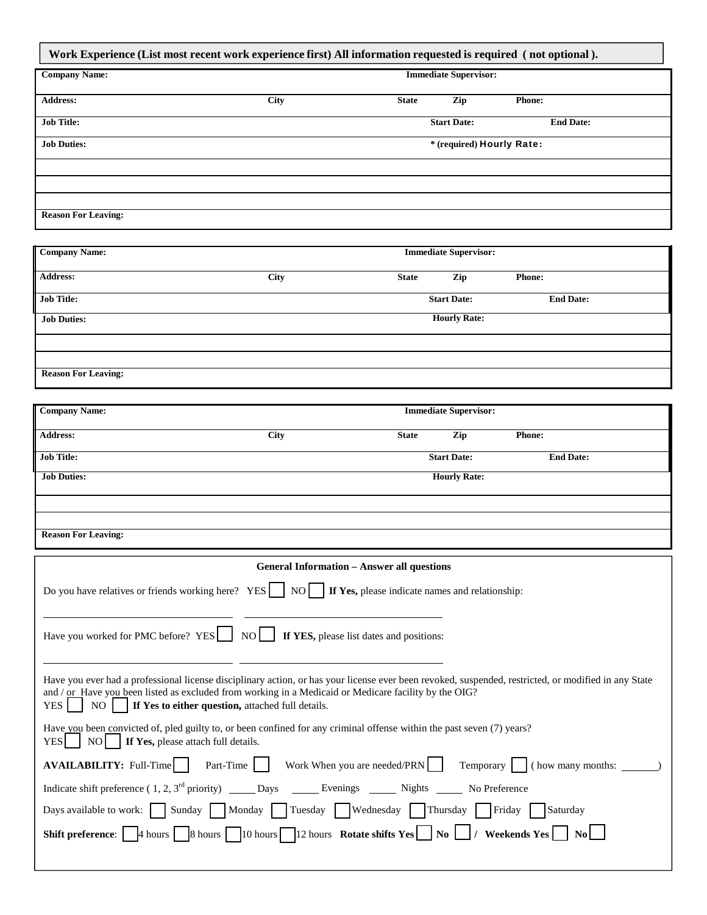| Work Experience (List most recent work experience first) All information requested is required (not optional). |             |                              |                  |  |  |
|----------------------------------------------------------------------------------------------------------------|-------------|------------------------------|------------------|--|--|
| <b>Company Name:</b>                                                                                           |             | <b>Immediate Supervisor:</b> |                  |  |  |
| <b>Address:</b>                                                                                                | <b>City</b> | <b>State</b><br>Zip          | <b>Phone:</b>    |  |  |
| <b>Job Title:</b>                                                                                              |             | <b>Start Date:</b>           | <b>End Date:</b> |  |  |
| <b>Job Duties:</b>                                                                                             |             | * (required) Hourly Rate:    |                  |  |  |
|                                                                                                                |             |                              |                  |  |  |
|                                                                                                                |             |                              |                  |  |  |
|                                                                                                                |             |                              |                  |  |  |
| <b>Reason For Leaving:</b>                                                                                     |             |                              |                  |  |  |

| <b>Company Name:</b>       | <b>Immediate Supervisor:</b> |              |                     |                  |  |
|----------------------------|------------------------------|--------------|---------------------|------------------|--|
| <b>Address:</b>            | City                         | <b>State</b> | Zip                 | <b>Phone:</b>    |  |
| <b>Job Title:</b>          |                              |              | <b>Start Date:</b>  | <b>End Date:</b> |  |
| <b>Job Duties:</b>         |                              |              | <b>Hourly Rate:</b> |                  |  |
|                            |                              |              |                     |                  |  |
|                            |                              |              |                     |                  |  |
| <b>Reason For Leaving:</b> |                              |              |                     |                  |  |

| <b>Company Name:</b> | <b>Immediate Supervisor:</b> |                    |                      |                  |
|----------------------|------------------------------|--------------------|----------------------|------------------|
| <b>Address:</b>      | City                         | <b>State</b>       | Zip<br><b>Phone:</b> |                  |
| <b>Job Title:</b>    |                              | <b>Start Date:</b> |                      | <b>End Date:</b> |
| <b>Job Duties:</b>   |                              |                    | <b>Hourly Rate:</b>  |                  |
|                      |                              |                    |                      |                  |
|                      |                              |                    |                      |                  |

**Reason For Leaving:**

Е

| <b>General Information – Answer all questions</b>                                                                                                                                                                                                                                                                                                   |  |  |  |  |
|-----------------------------------------------------------------------------------------------------------------------------------------------------------------------------------------------------------------------------------------------------------------------------------------------------------------------------------------------------|--|--|--|--|
| If Yes, please indicate names and relationship:<br>Do you have relatives or friends working here? YES     NO                                                                                                                                                                                                                                        |  |  |  |  |
| Have you worked for PMC before? YES NO I If YES, please list dates and positions:                                                                                                                                                                                                                                                                   |  |  |  |  |
| Have you ever had a professional license disciplinary action, or has your license ever been revoked, suspended, restricted, or modified in any State<br>and / or Have you been listed as excluded from working in a Medicaid or Medicare facility by the OIG?<br>If Yes to either question, attached full details.<br>NO <sub>1</sub><br><b>YES</b> |  |  |  |  |
| Have you been convicted of, pled guilty to, or been confined for any criminal offense within the past seven (7) years?<br>  NO   If Yes, please attach full details.<br>YESI                                                                                                                                                                        |  |  |  |  |
| <b>AVAILABILITY:</b> Full-Time Part-Time Work When you are needed/PRN<br>Temporary ( ) ( how many months:                                                                                                                                                                                                                                           |  |  |  |  |
| Indicate shift preference (1, 2, 3 <sup>rd</sup> priority) ______ Days ________ Evenings _______ Nights ______ No Preference                                                                                                                                                                                                                        |  |  |  |  |
| Days available to work: Sunday Monday Tuesday Wednesday Thursday Friday Saturday                                                                                                                                                                                                                                                                    |  |  |  |  |
| <b>Shift preference:</b> $\Box$ 4 hours $\Box$ 8 hours $\Box$ 10 hours $\Box$ 12 hours Rotate shifts Yes $\Box$ No $\Box$ / Weekends Yes                                                                                                                                                                                                            |  |  |  |  |